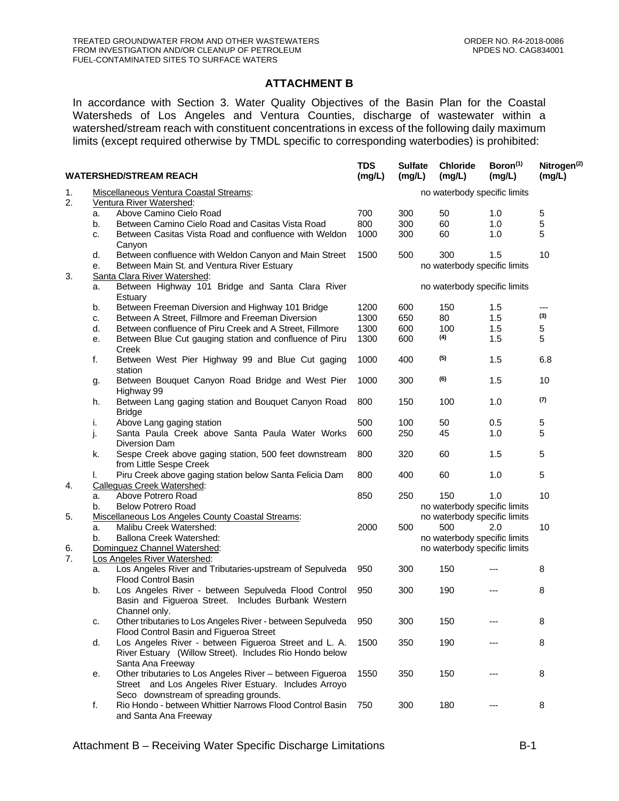## **ATTACHMENT B**

In accordance with Section 3. Water Quality Objectives of the Basin Plan for the Coastal Watersheds of Los Angeles and Ventura Counties, discharge of wastewater within a watershed/stream reach with constituent concentrations in excess of the following daily maximum limits (except required otherwise by TMDL specific to corresponding waterbodies) is prohibited:

| <b>WATERSHED/STREAM REACH</b> |                                                                                  |                                                                                                                                                             | <b>TDS</b><br>(mg/L)         | <b>Sulfate</b><br>(mg/L)     | <b>Chloride</b><br>(mg/L)                                    | Boron <sup>(1)</sup><br>(mg/L) | Nitrogen <sup>(2)</sup><br>(mg/L) |  |  |
|-------------------------------|----------------------------------------------------------------------------------|-------------------------------------------------------------------------------------------------------------------------------------------------------------|------------------------------|------------------------------|--------------------------------------------------------------|--------------------------------|-----------------------------------|--|--|
| 1.<br>2.                      | Miscellaneous Ventura Coastal Streams:<br>Ventura River Watershed:               |                                                                                                                                                             |                              | no waterbody specific limits |                                                              |                                |                                   |  |  |
|                               | a.                                                                               | Above Camino Cielo Road                                                                                                                                     | 700                          | 300                          | 50                                                           | 1.0                            | 5                                 |  |  |
|                               | b.                                                                               | Between Camino Cielo Road and Casitas Vista Road                                                                                                            | 800                          | 300                          | 60                                                           | 1.0                            | 5                                 |  |  |
|                               | c.                                                                               | Between Casitas Vista Road and confluence with Weldon<br>Canyon                                                                                             | 1000                         | 300                          | 60                                                           | 1.0                            | 5                                 |  |  |
|                               | d.                                                                               | Between confluence with Weldon Canyon and Main Street                                                                                                       | 1500                         | 500                          | 300                                                          | 1.5                            | 10                                |  |  |
| 3.                            | Between Main St. and Ventura River Estuary<br>е.<br>Santa Clara River Watershed: |                                                                                                                                                             | no waterbody specific limits |                              |                                                              |                                |                                   |  |  |
|                               | Between Highway 101 Bridge and Santa Clara River<br>a.<br>Estuary                |                                                                                                                                                             | no waterbody specific limits |                              |                                                              |                                |                                   |  |  |
|                               | b.                                                                               | Between Freeman Diversion and Highway 101 Bridge                                                                                                            | 1200                         | 600                          | 150                                                          | 1.5                            | ---                               |  |  |
|                               | c.                                                                               | Between A Street, Fillmore and Freeman Diversion                                                                                                            | 1300                         | 650                          | 80                                                           | 1.5                            | (3)                               |  |  |
|                               | d.                                                                               | Between confluence of Piru Creek and A Street, Fillmore                                                                                                     | 1300                         | 600                          | 100                                                          | 1.5                            | 5                                 |  |  |
|                               | е.                                                                               | Between Blue Cut gauging station and confluence of Piru<br>Creek                                                                                            | 1300                         | 600                          | (4)                                                          | 1.5                            | 5                                 |  |  |
|                               | f.                                                                               | Between West Pier Highway 99 and Blue Cut gaging<br>station                                                                                                 | 1000                         | 400                          | (5)                                                          | 1.5                            | 6.8                               |  |  |
|                               | g.                                                                               | Between Bouquet Canyon Road Bridge and West Pier<br>Highway 99                                                                                              | 1000                         | 300                          | (6)                                                          | 1.5                            | 10                                |  |  |
|                               | h.                                                                               | Between Lang gaging station and Bouquet Canyon Road<br><b>Bridge</b>                                                                                        | 800                          | 150                          | 100                                                          | 1.0                            | (7)                               |  |  |
|                               | i.                                                                               | Above Lang gaging station                                                                                                                                   | 500                          | 100                          | 50                                                           | 0.5                            | 5                                 |  |  |
|                               | j.                                                                               | Santa Paula Creek above Santa Paula Water Works<br>Diversion Dam                                                                                            | 600                          | 250                          | 45                                                           | 1.0                            | 5                                 |  |  |
|                               | k.                                                                               | Sespe Creek above gaging station, 500 feet downstream<br>from Little Sespe Creek                                                                            | 800                          | 320                          | 60                                                           | 1.5                            | 5                                 |  |  |
| 4.                            | I.                                                                               | Piru Creek above gaging station below Santa Felicia Dam<br>Calleguas Creek Watershed:                                                                       | 800                          | 400                          | 60                                                           | 1.0                            | 5                                 |  |  |
|                               | a.                                                                               | Above Potrero Road                                                                                                                                          | 850                          | 250                          | 150                                                          | 1.0                            | 10                                |  |  |
|                               | b.                                                                               | <b>Below Potrero Road</b>                                                                                                                                   |                              |                              |                                                              |                                |                                   |  |  |
| 5.                            |                                                                                  | Miscellaneous Los Angeles County Coastal Streams:                                                                                                           |                              |                              | no waterbody specific limits<br>no waterbody specific limits |                                |                                   |  |  |
|                               | a.                                                                               | Malibu Creek Watershed:                                                                                                                                     | 2000                         | 500                          | 500                                                          | 2.0                            | 10                                |  |  |
|                               | b.                                                                               | Ballona Creek Watershed:                                                                                                                                    |                              |                              | no waterbody specific limits                                 |                                |                                   |  |  |
| 6.                            |                                                                                  | Dominguez Channel Watershed:<br>no waterbody specific limits                                                                                                |                              |                              |                                                              |                                |                                   |  |  |
| 7.                            |                                                                                  | <b>Los Angeles River Watershed:</b>                                                                                                                         |                              |                              |                                                              |                                |                                   |  |  |
|                               | a.                                                                               | Los Angeles River and Tributaries-upstream of Sepulveda<br><b>Flood Control Basin</b>                                                                       | 950                          | 300                          | 150                                                          |                                | 8                                 |  |  |
|                               | b.                                                                               | Los Angeles River - between Sepulveda Flood Control<br>Basin and Figueroa Street. Includes Burbank Western<br>Channel only.                                 | 950                          | 300                          | 190                                                          |                                | 8                                 |  |  |
|                               | c.                                                                               | Other tributaries to Los Angeles River - between Sepulveda<br>Flood Control Basin and Figueroa Street                                                       | 950                          | 300                          | 150                                                          |                                | 8                                 |  |  |
|                               | d.                                                                               | Los Angeles River - between Figueroa Street and L. A.<br>River Estuary (Willow Street). Includes Rio Hondo below<br>Santa Ana Freeway                       | 1500                         | 350                          | 190                                                          |                                | 8                                 |  |  |
|                               | е.                                                                               | Other tributaries to Los Angeles River - between Figueroa<br>Street and Los Angeles River Estuary. Includes Arroyo<br>Seco downstream of spreading grounds. | 1550                         | 350                          | 150                                                          |                                | 8                                 |  |  |
|                               | f.                                                                               | Rio Hondo - between Whittier Narrows Flood Control Basin<br>and Santa Ana Freeway                                                                           | 750                          | 300                          | 180                                                          |                                | 8                                 |  |  |